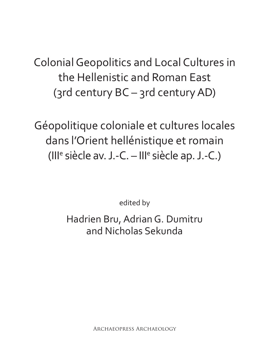Colonial Geopolitics and Local Cultures in the Hellenistic and Roman East (3rd century BC – 3rd century AD)

Géopolitique coloniale et cultures locales dans l'Orient hellénistique et romain (Ill<sup>e</sup> siècle av. J.-C. - Ill<sup>e</sup> siècle ap. J.-C.)

edited by

Hadrien Bru, Adrian G. Dumitru and Nicholas Sekunda

Archaeopress Archaeology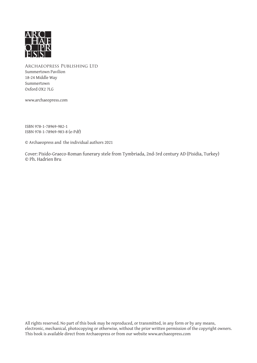

Archaeopress Publishing Ltd Summertown Pavilion 18-24 Middle Way Summertown Oxford OX2 7LG

www.archaeopress.com

ISBN 978-1-78969-982-1 ISBN 978-1-78969-983-8 (e-Pdf)

© Archaeopress and the individual authors 2021

Cover: Pisido-Graeco-Roman funerary stele from Tymbriada, 2nd-3rd century AD (Pisidia, Turkey) © Ph. Hadrien Bru

All rights reserved. No part of this book may be reproduced, or transmitted, in any form or by any means, electronic, mechanical, photocopying or otherwise, without the prior written permission of the copyright owners. This book is available direct from Archaeopress or from our website www.archaeopress.com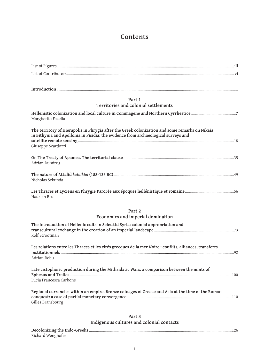# **Contents**

| Part 1                                                                                                                                                                               |
|--------------------------------------------------------------------------------------------------------------------------------------------------------------------------------------|
| Territories and colonial settlements                                                                                                                                                 |
| Margherita Facella                                                                                                                                                                   |
| The territory of Hierapolis in Phrygia after the Greek colonization and some remarks on Nikaia<br>in Bithynia and Apollonia in Pisidia: the evidence from archaeological surveys and |
| Giuseppe Scardozzi                                                                                                                                                                   |
| Adrian Dumitru                                                                                                                                                                       |
| Nicholas Sekunda                                                                                                                                                                     |
| Hadrien Bru                                                                                                                                                                          |
| Part 2                                                                                                                                                                               |
| Economics and imperial domination                                                                                                                                                    |
| The introduction of Hellenic cults in Seleukid Syria: colonial appropriation and<br>Rolf Strootman                                                                                   |
| Les relations entre les Thraces et les cités grecques de la mer Noire : conflits, alliances, transferts                                                                              |
| Adrian Robu                                                                                                                                                                          |
| Late cistophoric production during the Mithridatic Wars: a comparison between the mints of                                                                                           |
| Lucia Francesca Carbone                                                                                                                                                              |
| Regional currencies within an empire. Bronze coinages of Greece and Asia at the time of the Roman<br>Gilles Bransbourg                                                               |
|                                                                                                                                                                                      |
| Part 3<br>Indigenous cultures and colonial contacts                                                                                                                                  |

| Richard Wenghofer |  |
|-------------------|--|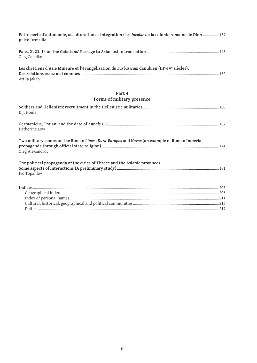| Entre perte d'autonomie, acculturation et intégration : les incolae de la colonie romaine de Dion137<br>Julien Demaille |
|-------------------------------------------------------------------------------------------------------------------------|
| Oleg Gabelko                                                                                                            |
| Les chrétiens d'Asie Mineure et l'évangélisation du Barbaricum danubien (IIIe-IVe siècles).<br>Attila Jakab             |
| Part 4                                                                                                                  |
| Forms of military presence                                                                                              |
| D.J. Houle                                                                                                              |
| Katherine Low                                                                                                           |
| Two military camps on the Roman Limes: Dura-Europos and Novae (an example of Roman Imperial<br>Oleg Alexandrov          |
| The political propaganda of the cities of Thrace and the Asianic provinces.<br>Ivo Topalilov                            |
|                                                                                                                         |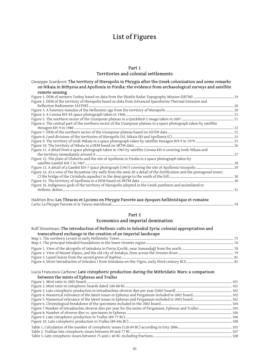# **List of Figures**

### **Part 1 Territories and colonial settlements**

Giuseppe Scardozzi: **The territory of Hierapolis in Phrygia after the Greek colonization and some remarks on Nikaia in Bithynia and Apollonia in Pisidia: the evidence from archaeological surveys and satellite remote sensing**

| Figure 2. DEM of the territory of Hierapolis based on data from Advanced Spaceborne Thermal Emission and                   |  |
|----------------------------------------------------------------------------------------------------------------------------|--|
|                                                                                                                            |  |
|                                                                                                                            |  |
|                                                                                                                            |  |
|                                                                                                                            |  |
| Figure 6. The central part of the northern sector of the Uzunpinar plateau in a space photograph taken by satellite        |  |
|                                                                                                                            |  |
|                                                                                                                            |  |
|                                                                                                                            |  |
|                                                                                                                            |  |
|                                                                                                                            |  |
| Figure 11. A detail from a space photograph taken in 1963 by satellite Corona KH-4 covering Iznik-Nikaia and               |  |
|                                                                                                                            |  |
| Figure 12. The plain of Uluborlu and the site of Apollonia in Pisidia in a space photograph taken by                       |  |
|                                                                                                                            |  |
|                                                                                                                            |  |
| Figure 14. A) a view of the Byzantine city walls from the west; B) a detail of the fortification and the pentagonal tower; |  |
|                                                                                                                            |  |
|                                                                                                                            |  |
| Figure 16. Indigenous gods of the territory of Hierapolis adopted in the Greek pantheon and assimilated to                 |  |
|                                                                                                                            |  |
|                                                                                                                            |  |

Hadrien Bru: **Les Thraces et Lyciens en Phrygie Parorée aux époques hellénistique et romaine** Carte: La Phrygie Parorée et le Taurus méridional...................................................................................................................................... 59

# **Part 2**

## **Economics and imperial domination**

#### Rolf Strootman: **The introduction of Hellenic cults in Seleukid Syria: colonial appropriation and transcultural exchange in the creation of an Imperial landscape**

#### Lucia Francesca Carbone: **Late cistophoric production during the Mithridatic Wars: a comparison between the mints of Ephesus and Tralles**

| o o o o o como contento o compondo o como contento e contento e contento de la contenta de la contenta de la c |  |
|----------------------------------------------------------------------------------------------------------------|--|
|                                                                                                                |  |
|                                                                                                                |  |
|                                                                                                                |  |
|                                                                                                                |  |
|                                                                                                                |  |
|                                                                                                                |  |
|                                                                                                                |  |
|                                                                                                                |  |
|                                                                                                                |  |
|                                                                                                                |  |
|                                                                                                                |  |
|                                                                                                                |  |
|                                                                                                                |  |
|                                                                                                                |  |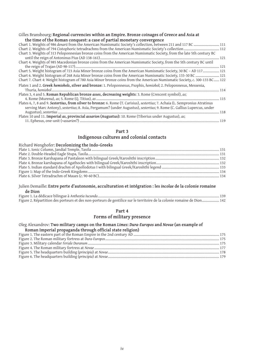### Gilles Bransbourg: **Regional currencies within an Empire. Bronze coinages of Greece and Asia at the time of the Roman conquest: a case of partial monetary convergence**

| Chart 1. Weights of 986 denarii from the American Numismatic Society's collection, between 211 and 117 BC  111                 |  |
|--------------------------------------------------------------------------------------------------------------------------------|--|
|                                                                                                                                |  |
| Chart 3. Weights of 313 Peloponnesian bronze coins from the American Numismatic Society, from the late 5th century BC          |  |
|                                                                                                                                |  |
| Chart 4. Weights of 985 Macedonian bronze coins from the American Numismatic Society, from the 5th century BC until            |  |
|                                                                                                                                |  |
| Chart 5. Weight histogram of 723 Asia Minor bronze coins from the American Numismatic Society, 30 BC - AD 117 121              |  |
| Chart 6. Weight histogram of 268 Asia Minor bronze coins from the American Numismatic Society, 133-30 BC  121                  |  |
| Chart 7. Chart 4: Weight histogram of 780 Asia Minor bronze coins from the American Numismatic Society, c. 300-133 BC 122      |  |
| Plates 1 and 2. Greek hemiobols, silver and bronze: 1. Peloponnesus, Psophis, hemiobol; 2. Peloponnesus, Messenia,             |  |
|                                                                                                                                |  |
| Plates 3, 4 and 5. Roman Republican bronze asses, decreasing weights: 3. Rome (Crescent symbol), as;                           |  |
|                                                                                                                                |  |
| Plates 6, 7, 8 and 9. Sestertius, from silver to bronze: 6. Rome (T. Carisius), sestertius; 7. Achaia (L. Sempronius Atratinus |  |
| serving Marc Antony), sestertius; 8. Asia, Pergamum? (under Augustus), sestertius; 9. Rome (C. Gallius Lupercus, under         |  |
|                                                                                                                                |  |
| Plates 10 and 11. Imperial as, provincial assarion (Augustus): 10. Rome (Tiberius under Augustus), as;                         |  |
|                                                                                                                                |  |

#### **Part 3**

## **Indigenous cultures and colonial contacts**

### Julien Demaille: **Entre perte d'autonomie, acculturation et intégration : les** *incolae* **de la colonie romaine de Dion**

| Figure 2. Répartition des porteurs et des non-porteurs de gentilice sur le territoire de la colonie romaine de Dion 142 |
|-------------------------------------------------------------------------------------------------------------------------|

### **Part 4**

# **Forms of military presence**

## Oleg Alexandrov: **Two military camps on the Roman** *Limes***:** *Dura-Europos* **and** *Novae* **(an example of**

# **Roman Imperial propaganda through official state religion)**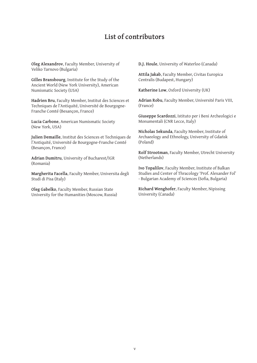# **List of contributors**

**Oleg Alexandrov**, Faculty Member, University of Veliko Tarnovo (Bulgaria)

**Gilles Bransbourg**, Institute for the Study of the Ancient World (New York University), American Numismatic Society (USA)

**Hadrien Bru**, Faculty Member, Institut des Sciences et Techniques de l'Antiquité, Université de Bourgogne-Franche Comté (Besançon, France)

**Lucia Carbone**, American Numismatic Society (New York, USA)

**Julien Demaille**, Institut des Sciences et Techniques de l'Antiquité, Université de Bourgogne-Franche Comté (Besançon, France)

**Adrian Dumitru**, University of Bucharest/IGR (Romania)

**Margherita Facella**, Faculty Member, Universita degli Studi di Pisa (Italy)

**Oleg Gabelko**, Faculty Member, Russian State University for the Humanities (Moscow, Russia) **D.J. Houle**, University of Waterloo (Canada)

**Attila Jakab**, Faculty Member, Civitas Europica Centralis (Budapest, Hungary)

**Katherine Low**, Oxford University (UK)

**Adrian Robu**, Faculty Member, Université Paris VIII, (France)

**Giuseppe Scardozzi**, Istituto per i Beni Archeologici e Monumentali (CNR Lecce, Italy)

**Nicholas Sekunda**, Faculty Member, Institute of Archaeology and Ethnology, University of Gdańsk (Poland)

**Rolf Strootman**, Faculty Member, Utrecht University (Netherlands)

**Ivo Topalilov**, Faculty Member, Institute of Balkan Studies and Center of Thracology 'Prof. Alexander Fol' - Bulgarian Academy of Sciences (Sofia, Bulgaria)

**Richard Wenghofer**, Faculty Member, Nipissing University (Canada)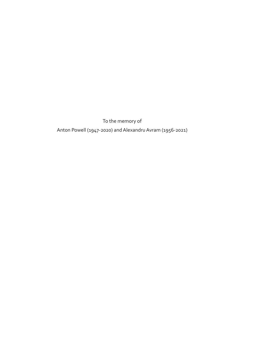To the memory of Anton Powell (1947-2020) and Alexandru Avram (1956-2021)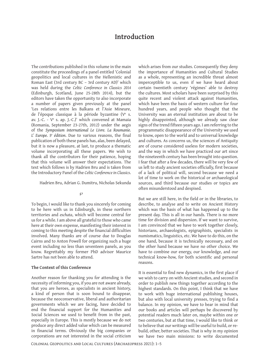# **Introduction**

The contributions published in this volume in the main constitute the proceedings of a panel entitled 'Colonial geopolitics and local cultures in the Hellenistic and Roman East (3rd century BC – 3rd century AD)' which was held during the *Celtic Conference in Classics 2014* (Edinburgh, Scotland, June 25-28th 2014), but the editors have taken the opportunity to also incorporate a number of papers given previously at the panel 'Les relations entre les Balkans et l'Asie Mineure, de l'époque classique à la période byzantine (Ve s. av. J.-C. - Ve s. ap. J.-C.)' which convened at Mamaia (Romania, September 23-27th, 2012) under the aegis of the *Symposium international Le Livre. La Roumanie. L' Europe. 5e édition*. Due to various reasons, the final publication of both these panels has, alas, been delayed, but it is now a pleasure, at last, to produce a thematic volume incorporating all these papers. We wish to thank all the contributors for their patience, hoping that this volume will answer their expectations. The text which follows is by Hadrien Bru and is taken from the Introductory Panel of the *Celtic Conference in Classics*.

Hadrien Bru, Adrian G. Dumitru, Nicholas Sekunda

#### $\wp$

To begin, I would like to thank you sincerely for coming to be here with us in Edinburgh, in these northern territories and *eschata*, which will become central for us for a while. I am above all grateful to those who came here at their own expense, manifesting their interest in coming to this meeting despite the financial difficulties involved. Many thanks are of course due to Douglas Cairns and to Anton Powell for organizing such a huge event including no less than seventeen panels, as you know. Regrettably my former PhD advisor Maurice Sartre has not been able to attend.

### **The Context of this Conference**

Another reason for thanking you for attending is the necessity of informing you, if you are not aware already, that you are heroes, as specialists in ancient history, a kind of person that is soon bound to disappear, because the neoconservative, liberal and authoritarian governments which we are facing, have decided to end the financial support for the Humanities and Social Sciences we used to benefit from in the past, especially in Europe. This is mostly because we do not produce any direct added value which can be measured in financial terms. Obviously the big companies or corporations are not interested in the social criticism

which arises from our studies. Consequently they deny the importance of Humanities and Cultural Studies as a whole, representing an incredible threat almost imperceptible to us, even if we have heard about certain twentieth century 'régimes' able to destroy the cultures. Most scholars have been surprised by this quite recent and violent attack against Humanities, which have been the basis of western culture for four hundred years, and people who thought that the University was an eternal institution are about to be highly disappointed, although we already saw clear signs of the trend fifteen years ago. I am referring to the programmatic disappearance of the University we used to know, open to the world and to universal knowledge and cultures. As concerns us, the sciences of Antiquity are of course considered useless for modern societies, and the way in which we have practiced our art since the nineteenth century has been brought into question. I fear that after a few decades, there will be very few of us left to study ancient societies officially, first because of a lack of political will, second because we need a lot of time to work on the historical or archaeological sources, and third because our studies or topics are often misunderstood and despised.

But we are still here, in the field or in the libraries, to describe, to analyse and to write on Ancient History which was the basis of what has happened up to the present day. This is all in our hands. There is no more time for division and dispersion. If we want to survive, I am convinced that we have to work together closely, historians, archaeologists, epigraphists, specialists in numismatics, linguistics, etc. We have to do this, on the one hand, because it is technically necessary, and on the other hand because we have no other choice. We have to combine our energy, our knowledge, and our technical know-how, for both scientific and personal reasons.

It is essential to find new dynamics, in the first place if we wish to carry on with Ancient studies, and second in order to publish new things together according to the highest standards. On this point, I think that we have to work with huge international publishing houses, but also with local university presses, trying to find a balance. In my opinion, we have to bear in mind that our books and articles will perhaps be discovered by potential readers much later on, maybe within one or two centuries, but at that time, I would like to think or to believe that our writings will be useful to build, or rebuild, other, better societies. That is why in my opinion we have two main missions: to write documented

Colonial Geopolitics and Local Cultures (Archaeopress 2021): 1–5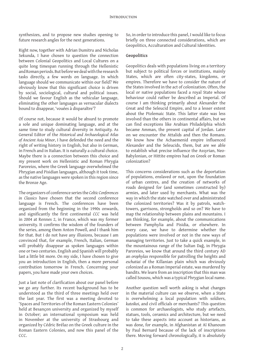synthesizes, and to propose new studies opening to future research angles for the next generations.

Right now, together with Adrian Dumitru and Nicholas Sekunda, I have chosen to question the connection between Colonial Geopolitics and Local Cultures on a quite long timespan running through the Hellenistic and Roman periods. But before we deal with the research tasks directly, a few words on language. In which language should we communicate within our field? We obviously know that this significant choice is driven by social, sociological, cultural and political issues. Should we favour English as the vehicular language, eliminating the other languages as vernacular dialects bound to disappear, 'vouées à disparaître'?

Of course not, because it would be absurd to promote a sole and unique dominating language, and at the same time to study cultural diversity in Antiquity. As General Editor of the *Historical and Archaeological Atlas of Ancient Asia Minor*, I have defended the need and the right of writing history in English, but also in German, in French and in Italian. It is naturally a cultural choice. Maybe there is a connection between this choice and my present work on Hellenistic and Roman Phrygia Paroreios, where the Greek language overwhelmed the Phrygian and Pisidian languages, although it took time, as the native languages were spoken in this region since the Bronze Age.

The organizers of conference series the *Celtic Conferences in Classics* have chosen that the second conference language is French. The conferences have been organized from the beginning in the 1990s onwards, and significantly the first continental *CCC* was held in 2004 at Rennes 2, in France, which was my former university. It confirms the wisdom of the founders of the series, among them Anton Powell, and I thank him for that. But I do not have any illusions, because I am convinced that, for example, French, Italian, German will probably disappear as spoken languages within one or two centuries. English and Spanish will probably last a little bit more. On my side, I have chosen to give you an introduction in English, then a more personal contribution tomorrow in French. Concerning your papers, you have made your own choices.

Just a last note of clarification about our panel before we go any further. Its recent background has to be understood as the third of three meetings held over the last year. The first was a meeting devoted to 'Spaces and Territories of the Roman Eastern Colonies' held at Besançon university and organized by myself in October; an international symposium was held in November at the university of Strasbourg and organized by Cédric Brélaz on the Greek culture in the Roman Eastern Colonies, and now this panel of the CCC.

So, in order to introduce this panel, I would like to focus briefly on three connected considerations, which are Geopolitics, Acculturation and Cultural Identities.

### **Geopolitics**

Geopolitics deals with populations living on a territory but subject to political forces or institutions, mainly States, which are often city-states, kingdoms, or empires. Therefore we have to consider the nature of the States involved in the act of colonization. Often, the local or native populations faced a royal State whose behaviour could rather be described as Imperial. Of course I am thinking primarily about Alexander the Great and the Seleucid Empire, and to a lesser extent about the Ptolemaic State. This latter state was less involved than the others in continental affairs, but we can find exceptions like Arabian Philadelphia which became Amman, the present capital of Jordan. Later on we encounter the Attalids and then the Romans. We know how the Achaemenid empire influenced Alexander and the Seleucids, them, but are we able to establish what precise influence the Assyrian, Neo-Babylonian, or Hittite empires had on Greek or Roman colonization?

This concerns considerations such as the deportation of populations, enslaved or not, upon the foundation of urban centres, and the creation of networks of roads designed for (and sometimes constructed by) armies, and later used by merchants. What was the way in which the state watched over and administrated the colonized territories? Was it by patrols, watchtowers, garrisons, strongholds and so on? We have to map the relationship between plains and mountains. I am thinking, for example, about the communications between Pamphylia and Pisidia, or elsewhere. In every case, we have to determine whether the populations were involved or not in the new ways of managing territories. Just to take a quick example, in the mountainous range of the Sultan Dağ, in Phrygia Paroreios, we know that around the third century AD an *orophylax* responsible for patrolling the heights and *eschatiai* of the Killanian plain which was obviously colonized as a Roman Imperial estate, was murdered by bandits. We learn from an inscription that this man was called Sousou, which was a typical Phrygian local name.

Another question well worth asking is what changes in the material culture can we observe, when a State is overwhelming a local population with soldiers, *katoikoi*, and civil officials or merchants? This question is common for archaeologists, who study artefacts, statues, tools, ceramics and architecture, but we need to take these aspects into account as historians, as was done, for example, in Afghanistan at Aï Khanoum by Paul Bernard because of the lack of inscriptions there. Moving forward chronologically, it is absolutely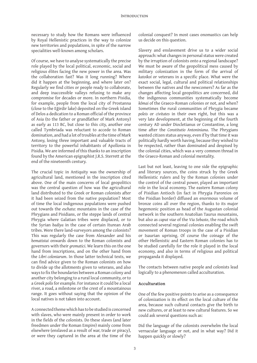necessary to study how the Romans were influenced by Royal Hellenistic practices in the way to colonize new territories and populations, in spite of the narrow specialities well-known among scholars.

Of course, we have to analyse systematically the precise role played by the local political, economic, social and religious élites facing the new power in the area. Was the collaboration fast? Was it long running? Where did it happen at the beginning, and where later on? Regularly we find cities or people ready to collaborate, and deep inaccessible valleys refusing to make any compromise for decades or more. In northern Pisidia, for example, people from the local city of Prostanna (close to the Eğirdir lake) deposited on the Greek island of Delos a dedication to a Roman official of the province of Asia (to the father or grandfather of Mark Antony) as early as 113 BC, but close to this city, another one called Tymbriada was reluctant to accede to Roman domination, and had a lot of troubles at the time of Mark Antony, losing three important and valuable tracts of territory to the powerful inhabitants of Apollonia in Pisidia. We are informed of this thanks to an inscription found by the American epigraphist J.R.S. Sterrett at the end of the nineteenth century.

The crucial topic in Antiquity was the ownership of agricultural land, mentioned in the inscription cited above. One of the main concerns of local geopolitics was the central question of how was the agricultural land distributed to the Greek or Roman colonists after it had been seized from the native population? Most of time the local indigenous populations were pushed out towards the *eschata*: mountains in the case of the Phrygians and Pisidians, or the steppe lands of central Phrygia where Galatian tribes were displaced, or to the Syrian *badiya* in the case of certain Iturean Arab tribes. Were there land-surveyors among the colonists? This was regularly the case from Alexander and his *bematistai* onwards down to the Roman colonists and governors with their *gromatici*. We learn this on the one hand from inscriptions, and on the other hand from the *Libri coloniarum*. In those latter technical texts, we can find advice given to the Roman colonists on how to divide up the allotments given to veterans, and also ways to fix the boundaries between a Roman colony and another city belonging to a rural local community, or to a Greek *polis* for example. For instance it could be a local river, a road, a milestone or the crest of a mountainous range. It goes without saying that the opinion of the local natives is not taken into account.

A connected theme which has to be studied is concerned with slaves, who were mainly present in order to work in the fields of the colonists. Do these slaves (and later freedmen under the Roman Empire) mainly come from elsewhere (enslaved as a result of war, trade or piracy), or were they captured in the area at the time of the

colonial conquest? In most cases onomastics can help us decide on this question.

Slavery and enslavement drive us to a wider social approach: what changes in personal status were created by the irruption of colonists onto a regional landscape? We must be aware of the geopolitical mess caused by military colonization in the form of the arrival of *katoikoi* or veterans in a specific place. What were the exact social, legal, cultural and political relationships between the natives and the newcomers? As far as the changes affecting local geopolitics are concerned, did the indigenous communities systematically become *kōmai* of the Graeco-Roman colonies or not, and when? Sometimes the rural communities of Phrygia became *poleis* or *civitates* in their own right, but this was a very late development, at the beginning of the fourth century AD under Diocletianus or Constantine, a long time after the *Constitutio Antoniniana*. The Phrygians wanted citizen status anyway, even if by that time it was politically hardly worth having, because they wished to be respected, rather than dominated and despised by the colonial cities, which was a very common thread in the Graeco-Roman and colonial mentality.

Last but not least, leaving to one side the epigraphic and literary sources, the coins struck by the Greek Hellenistic rulers and by the Roman colonies under the control of the central power, played an important role in the local economy. The eastern Roman colony of Pisidian Antioch (in fact in Phrygia Paroreios on the Pisidian border) diffused an enormous volume of bronze coins all over the region, thanks to its major hegemonic position as head of the Augustan colonial network in the southern Anatolian Taurus mountains, but also as *caput viae* of the *Via Sebaste*, the road which connected several regional colonies enabling the swift movement of Roman troops in the case of a Pisidian or Isaurian uprising. Of course the coinage of the other Hellenistic and Eastern Roman colonies has to be studied carefully for the role it played in the local economy, and also in terms of religious and political propaganda it displayed.

The contacts between native people and colonists lead logically to a phenomenon called acculturation.

#### **Acculturation**

One of the few positive points to arise as a consequence of colonization is its effect on the local culture of the area, because such cultural contacts give the birth to new cultures, or at least to new cultural features. So we could ask several questions such as:

Did the language of the colonists overwhelm the local vernacular language or not, and in what way? Did it happen quickly or slowly?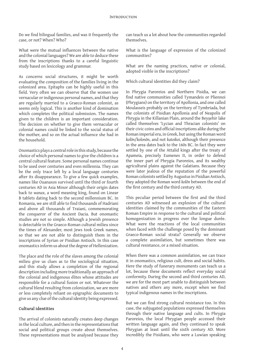Do we find bilingual families, and was it frequently the case, or not? When? Who?

What were the mutual influences between the native and the colonial languages? We are able to deduce these from the inscriptions thanks to a careful linguistic study based on lexicology and grammar.

As concerns social structures, it might be worth evaluating the composition of the families living in the colonized area. Epitaphs can be highly useful in this field. Very often we can observe that the women use vernacular or indigenous personal names, and that they are regularly married to a Graeco-Roman colonist, as seems only logical. This is another kind of domination which completes the political submission. The names given to the children is an important consideration. The decision on whether to give them vernacular or colonial names could be linked to the social status of the mother, and so on the actual influence she had in the household.

Onomastics plays a central role in this study, because the choice of which personal names to give the children is a central cultural feature. Some personal names continue to be used over centuries and even millennia. They can be the only trace left by a local language centuries after its disappearance. To give a few quick examples, names like Ouanaxos survived until the third or fourth centuries AD in Asia Minor although their origin dates back to *wanax*, a word meaning king, found on Linear B tablets dating back to the second millennium BC. In Romania, we are still able to find thousands of Hadriani and above all thousands of Traiani, commemorating the conqueror of the Ancient Dacia. But onomastic studies are not so simple. Although a Jewish presence is detectable in the Graeco-Roman cultural milieu since the times of Alexander, most Jews took Greek names, so that we are not able to distinguish them in the inscriptions of Syrian or Pisidian Antioch. In this case onomastics inform us about the degree of Hellenization.

The place and the role of the slaves among the colonial milieu give us clues as to the sociological situation, and this study allows a completion of the regional description including more traditionally an approach of the colonial and indigenous élites whose attitudes are responsible for a cultural fusion or not. Whatever the cultural blend resulting from colonization, we are more or less completely reliant on epigraphic documents to give us any clue of the cultural identity being expressed.

### **Cultural identities**

The arrival of colonists naturally creates deep changes in the local culture, and then in the representations that social and political groups create about themselves. These representations must be analysed because they can teach us a lot about how the communities regarded themselves.

What is the language of expression of the colonized communities?

What are the naming practices, native or colonial, adopted visible in the inscriptions?

Which cultural identities did they claim?

In Phrygia Paroreios and Northern Pisidia, we can find native communities called Tymandeis or Pliennoi (Phrygians) on the territory of Apollonia, and one called Moulasseis probably on the territory of Tymbriada, but the colonists of Pisidian Apollonia and of Neapolis of Phrygia in the Killanian Plain, around the Beyşehir lake called themselves 'Lycian and Thracian colonists' on their civic coins and official inscriptions alike during the Roman imperial era, in Greek, but using the Roman word *kolōn*/*kolonōn*, and not *katoikoi*, although their presence in the area dates back to the 160s BC. In fact they were settled by one of the Attalid kings after the treaty of Apameia, precisely Eumenes II, in order to defend the inner part of Phrygia Paroreios, and its wealthy agricultural plains against the Galatians. Because they were later jealous of the reputation of the powerful Roman colonists settled by Augustus in Pisidian Antioch, they adopted the Roman word *kolōn* between the end of the first century and the third century AD.

This peculiar period between the first and the third centuries AD witnessed an explosion of the cultural identities claimed by the communities of the Eastern Roman Empire in response to the cultural and political homogenization in progress over the longue durée. What were the reactions of the local communities when faced with the challenge posed by the dominant Graeco-Roman social strata? Generally we observe a complete assimilation, but sometimes there was cultural resistance, or a mixed situation.

When there was a common assimilation, we can trace it in onomastics, religious cult, dress and social habits. Here the study of funerary monuments can teach us a lot, because these documents reflect everyday social conformity. During the second and third centuries AD, we are for the most part unable to distinguish between natives and others any more, except when we find typical indigenous names in the inscriptions.

But we can find strong cultural resistance too. In this case, the subjugated populations expressed themselves through their native language and cults. In Phrygia Paroreios, the local Phrygian people accessed their written language again, and they continued to speak Phrygian at least until the sixth century AD. More incredibly the Pisidians, who were a Luwian speaking